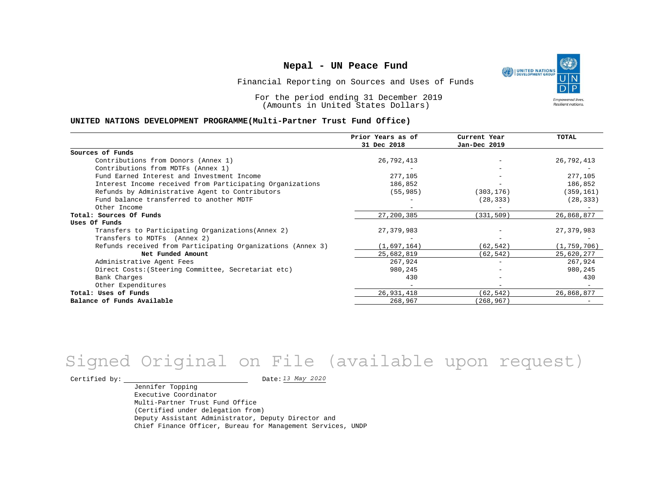UNITED NATIONS **Empowered lives** Resilient nations.

Financial Reporting on Sources and Uses of Funds

For the period ending 31 December 2019 (Amounts in United States Dollars)

#### **UNITED NATIONS DEVELOPMENT PROGRAMME(Multi-Partner Trust Fund Office)**

|                                                             | Prior Years as of | Current Year      | TOTAL         |
|-------------------------------------------------------------|-------------------|-------------------|---------------|
|                                                             | 31 Dec 2018       | Jan-Dec 2019      |               |
| Sources of Funds                                            |                   |                   |               |
| Contributions from Donors (Annex 1)                         | 26,792,413        |                   | 26,792,413    |
| Contributions from MDTFs (Annex 1)                          |                   |                   |               |
| Fund Earned Interest and Investment Income                  | 277,105           |                   | 277,105       |
| Interest Income received from Participating Organizations   | 186,852           |                   | 186,852       |
| Refunds by Administrative Agent to Contributors             | (55, 985)         | (303, 176)        | (359, 161)    |
| Fund balance transferred to another MDTF                    |                   | (28, 333)         | (28, 333)     |
| Other Income                                                |                   | $\qquad \qquad -$ |               |
| Total: Sources Of Funds                                     | 27,200,385        | (331, 509)        | 26,868,877    |
| Uses Of Funds                                               |                   |                   |               |
| Transfers to Participating Organizations (Annex 2)          | 27,379,983        |                   | 27,379,983    |
| Transfers to MDTFs (Annex 2)                                |                   |                   |               |
| Refunds received from Participating Organizations (Annex 3) | (1,697,164)       | (62, 542)         | (1, 759, 706) |
| Net Funded Amount                                           | 25,682,819        | (62, 542)         | 25,620,277    |
| Administrative Agent Fees                                   | 267,924           |                   | 267,924       |
| Direct Costs: (Steering Committee, Secretariat etc)         | 980,245           |                   | 980,245       |
| Bank Charges                                                | 430               |                   | 430           |
| Other Expenditures                                          |                   |                   |               |
| Total: Uses of Funds                                        | 26,931,418        | (62, 542)         | 26,868,877    |
| Balance of Funds Available                                  | 268,967           | (268, 967)        |               |

# *13 May 2020* Signed Original on File (available upon request)

Certified by:  $\frac{D \text{ at } 2020}{D \text{ at } 2020}$ 

Jennifer Topping Executive Coordinator Multi-Partner Trust Fund Office (Certified under delegation from) Deputy Assistant Administrator, Deputy Director and Chief Finance Officer, Bureau for Management Services, UNDP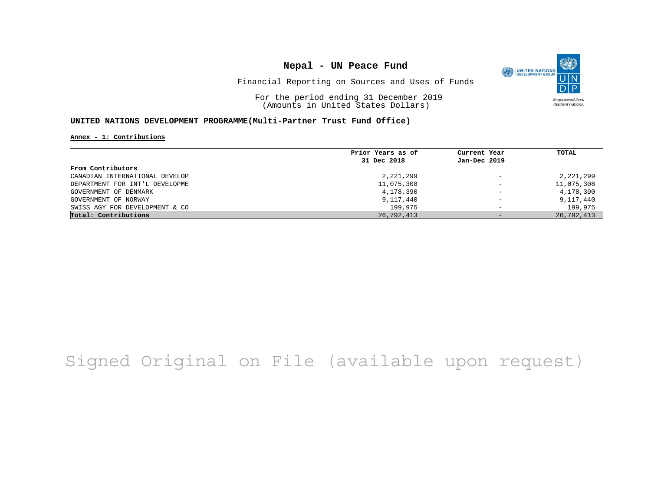

Financial Reporting on Sources and Uses of Funds

For the period ending 31 December 2019 (Amounts in United States Dollars)

### **UNITED NATIONS DEVELOPMENT PROGRAMME(Multi-Partner Trust Fund Office)**

#### **Annex - 1: Contributions**

|                                | Prior Years as of | Current Year             | TOTAL      |
|--------------------------------|-------------------|--------------------------|------------|
|                                | 31 Dec 2018       | Jan-Dec 2019             |            |
| From Contributors              |                   |                          |            |
| CANADIAN INTERNATIONAL DEVELOP | 2,221,299         | $\qquad \qquad -$        | 2,221,299  |
| DEPARTMENT FOR INT'L DEVELOPME | 11,075,308        | $\overline{\phantom{a}}$ | 11,075,308 |
| GOVERNMENT OF DENMARK          | 4,178,390         | $\overline{\phantom{m}}$ | 4,178,390  |
| GOVERNMENT OF NORWAY           | 9,117,440         | $\overline{\phantom{0}}$ | 9,117,440  |
| SWISS AGY FOR DEVELOPMENT & CO | 199,975           | -                        | 199,975    |
| Total: Contributions           | 26,792,413        | $-$                      | 26,792,413 |

## Signed Original on File (available upon request)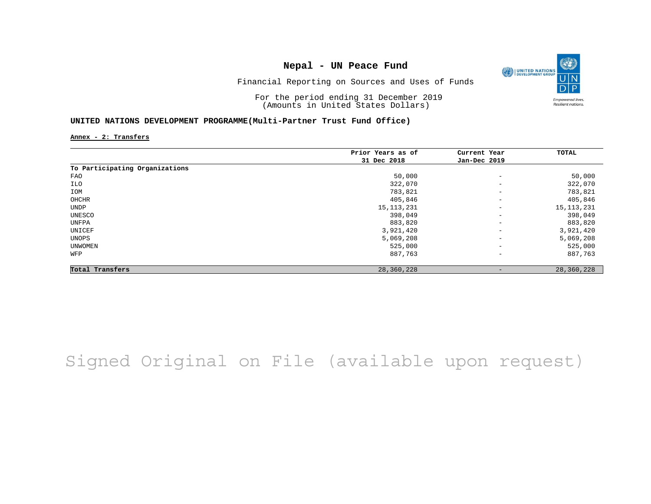

Financial Reporting on Sources and Uses of Funds

For the period ending 31 December 2019 (Amounts in United States Dollars)

### **UNITED NATIONS DEVELOPMENT PROGRAMME(Multi-Partner Trust Fund Office)**

**Annex - 2: Transfers**

|                                | Prior Years as of | Current Year             | TOTAL        |
|--------------------------------|-------------------|--------------------------|--------------|
|                                | 31 Dec 2018       | Jan-Dec 2019             |              |
| To Participating Organizations |                   |                          |              |
| FAO                            | 50,000            | $\overline{\phantom{m}}$ | 50,000       |
| ILO                            | 322,070           | $\qquad \qquad -$        | 322,070      |
| IOM                            | 783,821           | $\qquad \qquad -$        | 783,821      |
| OHCHR                          | 405,846           | $\overline{\phantom{a}}$ | 405,846      |
| UNDP                           | 15, 113, 231      | $\overline{\phantom{a}}$ | 15, 113, 231 |
| UNESCO                         | 398,049           | $\overline{\phantom{a}}$ | 398,049      |
| UNFPA                          | 883,820           | $\qquad \qquad -$        | 883,820      |
| UNICEF                         | 3,921,420         | $\qquad \qquad -$        | 3,921,420    |
| UNOPS                          | 5,069,208         | $\qquad \qquad -$        | 5,069,208    |
| UNWOMEN                        | 525,000           | $\qquad \qquad -$        | 525,000      |
| WFP                            | 887,763           | $\qquad \qquad -$        | 887,763      |
| Total Transfers                | 28,360,228        | $\qquad \qquad$          | 28,360,228   |

Signed Original on File (available upon request)